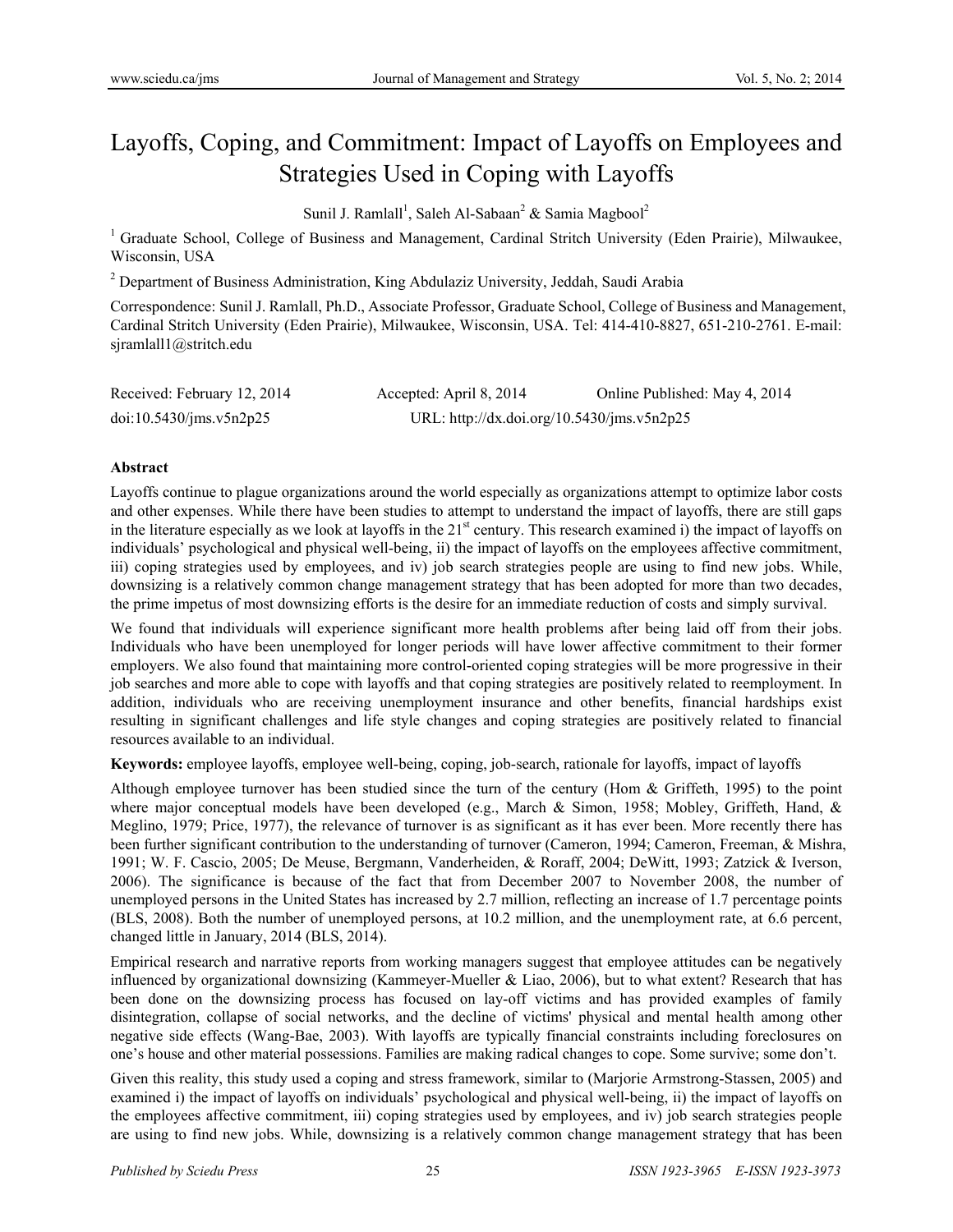# Layoffs, Coping, and Commitment: Impact of Layoffs on Employees and Strategies Used in Coping with Layoffs

Sunil J. Ramlall<sup>1</sup>, Saleh Al-Sabaan<sup>2</sup> & Samia Magbool<sup>2</sup>

<sup>1</sup> Graduate School, College of Business and Management, Cardinal Stritch University (Eden Prairie), Milwaukee, Wisconsin, USA

<sup>2</sup> Department of Business Administration, King Abdulaziz University, Jeddah, Saudi Arabia

Correspondence: Sunil J. Ramlall, Ph.D., Associate Professor, Graduate School, College of Business and Management, Cardinal Stritch University (Eden Prairie), Milwaukee, Wisconsin, USA. Tel: 414-410-8827, 651-210-2761. E-mail: sjramlall1@stritch.edu

| Received: February 12, 2014 | Accepted: April 8, 2014                    | Online Published: May 4, 2014 |
|-----------------------------|--------------------------------------------|-------------------------------|
| doi:10.5430/ims.v5n2p25     | URL: http://dx.doi.org/10.5430/jms.v5n2p25 |                               |

#### **Abstract**

Layoffs continue to plague organizations around the world especially as organizations attempt to optimize labor costs and other expenses. While there have been studies to attempt to understand the impact of layoffs, there are still gaps in the literature especially as we look at layoffs in the  $21<sup>st</sup>$  century. This research examined i) the impact of layoffs on individuals' psychological and physical well-being, ii) the impact of layoffs on the employees affective commitment, iii) coping strategies used by employees, and iv) job search strategies people are using to find new jobs. While, downsizing is a relatively common change management strategy that has been adopted for more than two decades, the prime impetus of most downsizing efforts is the desire for an immediate reduction of costs and simply survival.

We found that individuals will experience significant more health problems after being laid off from their jobs. Individuals who have been unemployed for longer periods will have lower affective commitment to their former employers. We also found that maintaining more control-oriented coping strategies will be more progressive in their job searches and more able to cope with layoffs and that coping strategies are positively related to reemployment. In addition, individuals who are receiving unemployment insurance and other benefits, financial hardships exist resulting in significant challenges and life style changes and coping strategies are positively related to financial resources available to an individual.

**Keywords:** employee layoffs, employee well-being, coping, job-search, rationale for layoffs, impact of layoffs

Although employee turnover has been studied since the turn of the century (Hom & Griffeth, 1995) to the point where major conceptual models have been developed (e.g., March & Simon, 1958; Mobley, Griffeth, Hand, & Meglino, 1979; Price, 1977), the relevance of turnover is as significant as it has ever been. More recently there has been further significant contribution to the understanding of turnover (Cameron, 1994; Cameron, Freeman, & Mishra, 1991; W. F. Cascio, 2005; De Meuse, Bergmann, Vanderheiden, & Roraff, 2004; DeWitt, 1993; Zatzick & Iverson, 2006). The significance is because of the fact that from December 2007 to November 2008, the number of unemployed persons in the United States has increased by 2.7 million, reflecting an increase of 1.7 percentage points (BLS, 2008). Both the number of unemployed persons, at 10.2 million, and the unemployment rate, at 6.6 percent, changed little in January, 2014 (BLS, 2014).

Empirical research and narrative reports from working managers suggest that employee attitudes can be negatively influenced by organizational downsizing (Kammeyer-Mueller & Liao, 2006), but to what extent? Research that has been done on the downsizing process has focused on lay-off victims and has provided examples of family disintegration, collapse of social networks, and the decline of victims' physical and mental health among other negative side effects (Wang-Bae, 2003). With layoffs are typically financial constraints including foreclosures on one's house and other material possessions. Families are making radical changes to cope. Some survive; some don't.

Given this reality, this study used a coping and stress framework, similar to (Marjorie Armstrong-Stassen, 2005) and examined i) the impact of layoffs on individuals' psychological and physical well-being, ii) the impact of layoffs on the employees affective commitment, iii) coping strategies used by employees, and iv) job search strategies people are using to find new jobs. While, downsizing is a relatively common change management strategy that has been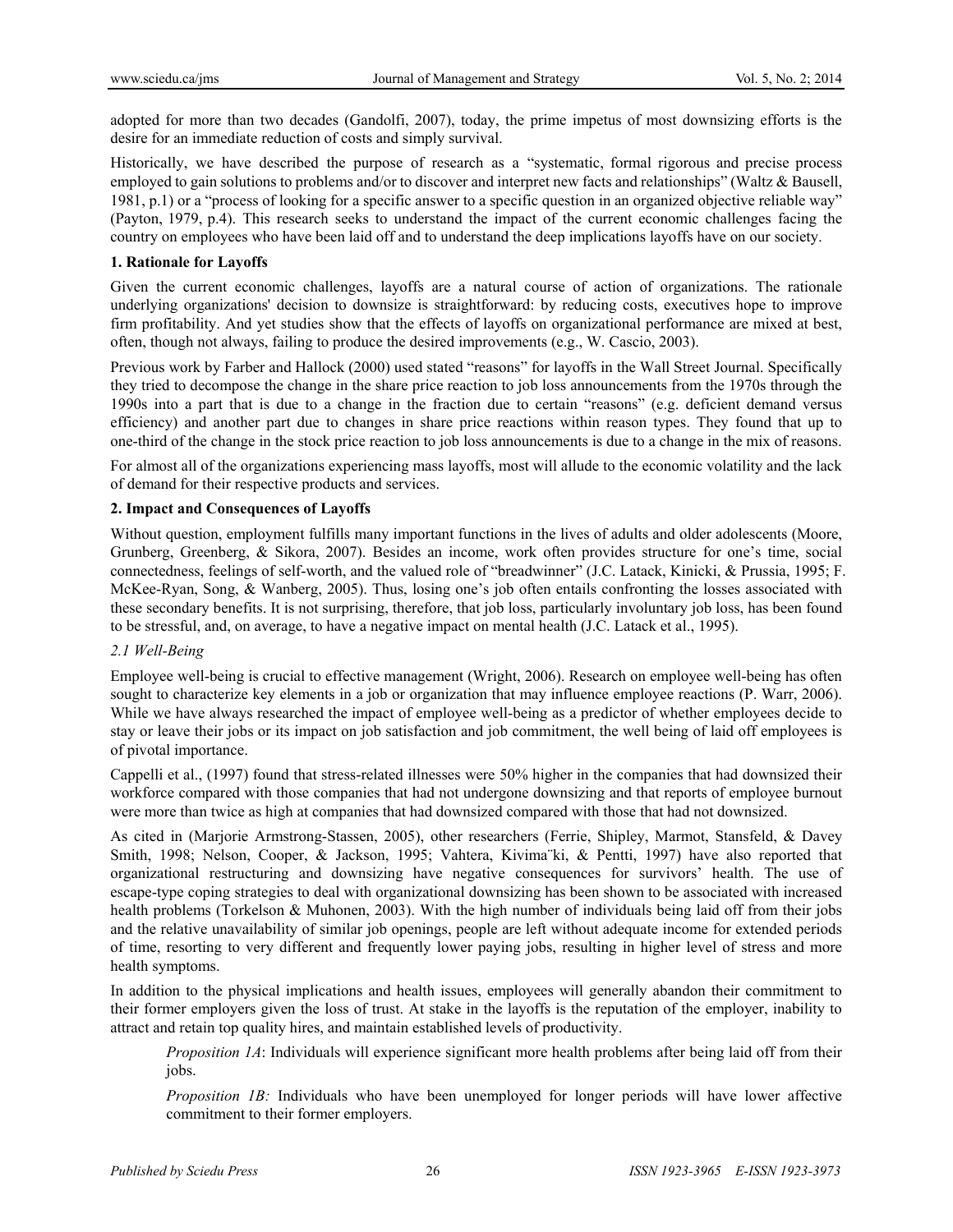adopted for more than two decades (Gandolfi, 2007), today, the prime impetus of most downsizing efforts is the desire for an immediate reduction of costs and simply survival.

Historically, we have described the purpose of research as a "systematic, formal rigorous and precise process employed to gain solutions to problems and/or to discover and interpret new facts and relationships" (Waltz & Bausell, 1981, p.1) or a "process of looking for a specific answer to a specific question in an organized objective reliable way" (Payton, 1979, p.4). This research seeks to understand the impact of the current economic challenges facing the country on employees who have been laid off and to understand the deep implications layoffs have on our society.

### **1. Rationale for Layoffs**

Given the current economic challenges, layoffs are a natural course of action of organizations. The rationale underlying organizations' decision to downsize is straightforward: by reducing costs, executives hope to improve firm profitability. And yet studies show that the effects of layoffs on organizational performance are mixed at best, often, though not always, failing to produce the desired improvements (e.g., W. Cascio, 2003).

Previous work by Farber and Hallock (2000) used stated "reasons" for layoffs in the Wall Street Journal. Specifically they tried to decompose the change in the share price reaction to job loss announcements from the 1970s through the 1990s into a part that is due to a change in the fraction due to certain "reasons" (e.g. deficient demand versus efficiency) and another part due to changes in share price reactions within reason types. They found that up to one-third of the change in the stock price reaction to job loss announcements is due to a change in the mix of reasons.

For almost all of the organizations experiencing mass layoffs, most will allude to the economic volatility and the lack of demand for their respective products and services.

## **2. Impact and Consequences of Layoffs**

Without question, employment fulfills many important functions in the lives of adults and older adolescents (Moore, Grunberg, Greenberg, & Sikora, 2007). Besides an income, work often provides structure for one's time, social connectedness, feelings of self-worth, and the valued role of "breadwinner" (J.C. Latack, Kinicki, & Prussia, 1995; F. McKee-Ryan, Song, & Wanberg, 2005). Thus, losing one's job often entails confronting the losses associated with these secondary benefits. It is not surprising, therefore, that job loss, particularly involuntary job loss, has been found to be stressful, and, on average, to have a negative impact on mental health (J.C. Latack et al., 1995).

#### *2.1 Well-Being*

Employee well-being is crucial to effective management (Wright, 2006). Research on employee well-being has often sought to characterize key elements in a job or organization that may influence employee reactions (P. Warr, 2006). While we have always researched the impact of employee well-being as a predictor of whether employees decide to stay or leave their jobs or its impact on job satisfaction and job commitment, the well being of laid off employees is of pivotal importance.

Cappelli et al., (1997) found that stress-related illnesses were 50% higher in the companies that had downsized their workforce compared with those companies that had not undergone downsizing and that reports of employee burnout were more than twice as high at companies that had downsized compared with those that had not downsized.

As cited in (Marjorie Armstrong-Stassen, 2005), other researchers (Ferrie, Shipley, Marmot, Stansfeld, & Davey Smith, 1998; Nelson, Cooper, & Jackson, 1995; Vahtera, Kivima¨ki, & Pentti, 1997) have also reported that organizational restructuring and downsizing have negative consequences for survivors' health. The use of escape-type coping strategies to deal with organizational downsizing has been shown to be associated with increased health problems (Torkelson & Muhonen, 2003). With the high number of individuals being laid off from their jobs and the relative unavailability of similar job openings, people are left without adequate income for extended periods of time, resorting to very different and frequently lower paying jobs, resulting in higher level of stress and more health symptoms.

In addition to the physical implications and health issues, employees will generally abandon their commitment to their former employers given the loss of trust. At stake in the layoffs is the reputation of the employer, inability to attract and retain top quality hires, and maintain established levels of productivity.

*Proposition 1A*: Individuals will experience significant more health problems after being laid off from their jobs.

*Proposition 1B:* Individuals who have been unemployed for longer periods will have lower affective commitment to their former employers.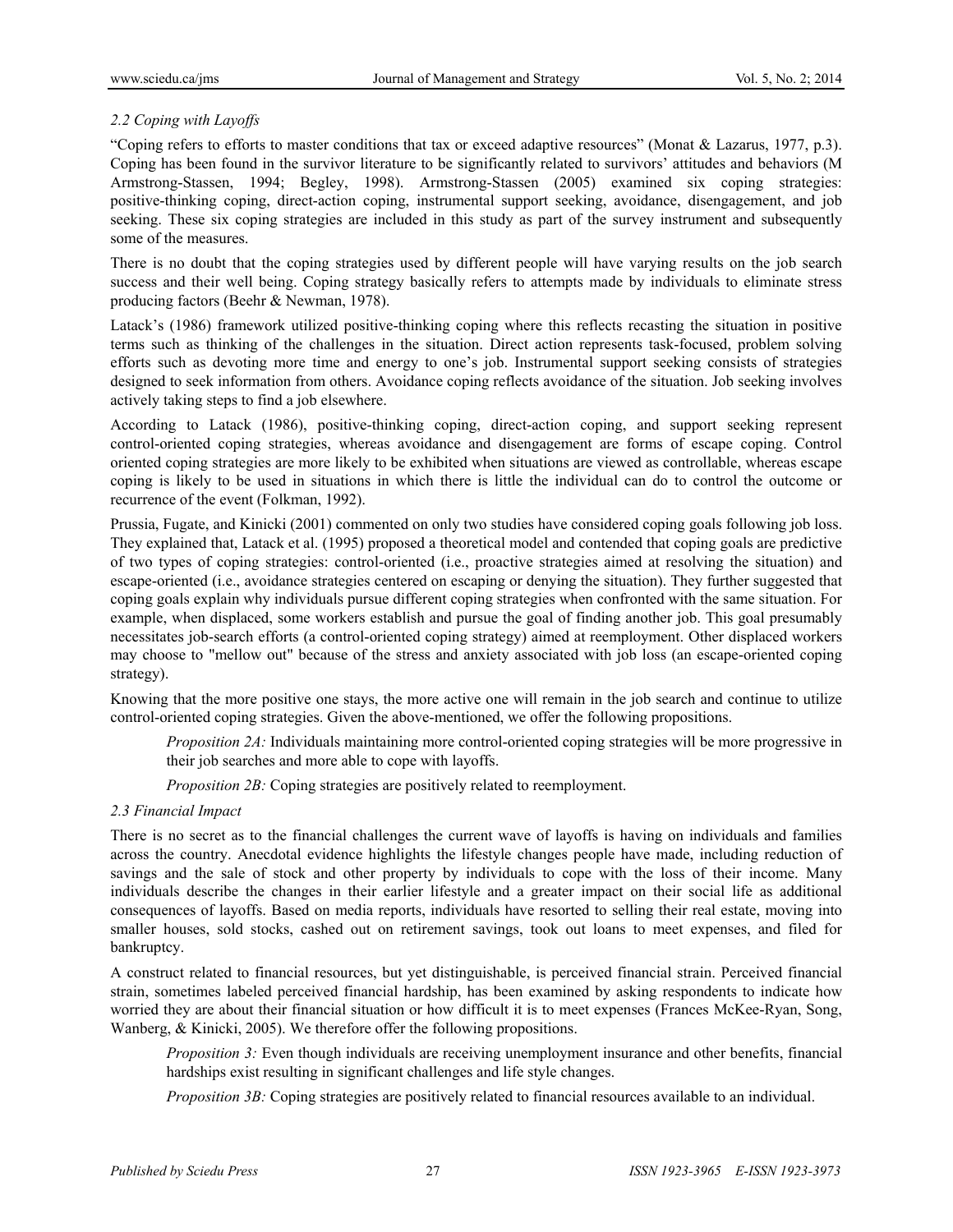## *2.2 Coping with Layoffs*

"Coping refers to efforts to master conditions that tax or exceed adaptive resources" (Monat & Lazarus, 1977, p.3). Coping has been found in the survivor literature to be significantly related to survivors' attitudes and behaviors (M Armstrong-Stassen, 1994; Begley, 1998). Armstrong-Stassen (2005) examined six coping strategies: positive-thinking coping, direct-action coping, instrumental support seeking, avoidance, disengagement, and job seeking. These six coping strategies are included in this study as part of the survey instrument and subsequently some of the measures.

There is no doubt that the coping strategies used by different people will have varying results on the job search success and their well being. Coping strategy basically refers to attempts made by individuals to eliminate stress producing factors (Beehr & Newman, 1978).

Latack's (1986) framework utilized positive-thinking coping where this reflects recasting the situation in positive terms such as thinking of the challenges in the situation. Direct action represents task-focused, problem solving efforts such as devoting more time and energy to one's job. Instrumental support seeking consists of strategies designed to seek information from others. Avoidance coping reflects avoidance of the situation. Job seeking involves actively taking steps to find a job elsewhere.

According to Latack (1986), positive-thinking coping, direct-action coping, and support seeking represent control-oriented coping strategies, whereas avoidance and disengagement are forms of escape coping. Control oriented coping strategies are more likely to be exhibited when situations are viewed as controllable, whereas escape coping is likely to be used in situations in which there is little the individual can do to control the outcome or recurrence of the event (Folkman, 1992).

Prussia, Fugate, and Kinicki (2001) commented on only two studies have considered coping goals following job loss. They explained that, Latack et al. (1995) proposed a theoretical model and contended that coping goals are predictive of two types of coping strategies: control-oriented (i.e., proactive strategies aimed at resolving the situation) and escape-oriented (i.e., avoidance strategies centered on escaping or denying the situation). They further suggested that coping goals explain why individuals pursue different coping strategies when confronted with the same situation. For example, when displaced, some workers establish and pursue the goal of finding another job. This goal presumably necessitates job-search efforts (a control-oriented coping strategy) aimed at reemployment. Other displaced workers may choose to "mellow out" because of the stress and anxiety associated with job loss (an escape-oriented coping strategy).

Knowing that the more positive one stays, the more active one will remain in the job search and continue to utilize control-oriented coping strategies. Given the above-mentioned, we offer the following propositions.

*Proposition 2A:* Individuals maintaining more control-oriented coping strategies will be more progressive in their job searches and more able to cope with layoffs.

*Proposition 2B:* Coping strategies are positively related to reemployment.

#### *2.3 Financial Impact*

There is no secret as to the financial challenges the current wave of layoffs is having on individuals and families across the country. Anecdotal evidence highlights the lifestyle changes people have made, including reduction of savings and the sale of stock and other property by individuals to cope with the loss of their income. Many individuals describe the changes in their earlier lifestyle and a greater impact on their social life as additional consequences of layoffs. Based on media reports, individuals have resorted to selling their real estate, moving into smaller houses, sold stocks, cashed out on retirement savings, took out loans to meet expenses, and filed for bankruptcy.

A construct related to financial resources, but yet distinguishable, is perceived financial strain. Perceived financial strain, sometimes labeled perceived financial hardship, has been examined by asking respondents to indicate how worried they are about their financial situation or how difficult it is to meet expenses (Frances McKee-Ryan, Song, Wanberg, & Kinicki, 2005). We therefore offer the following propositions.

*Proposition 3:* Even though individuals are receiving unemployment insurance and other benefits, financial hardships exist resulting in significant challenges and life style changes.

*Proposition 3B:* Coping strategies are positively related to financial resources available to an individual.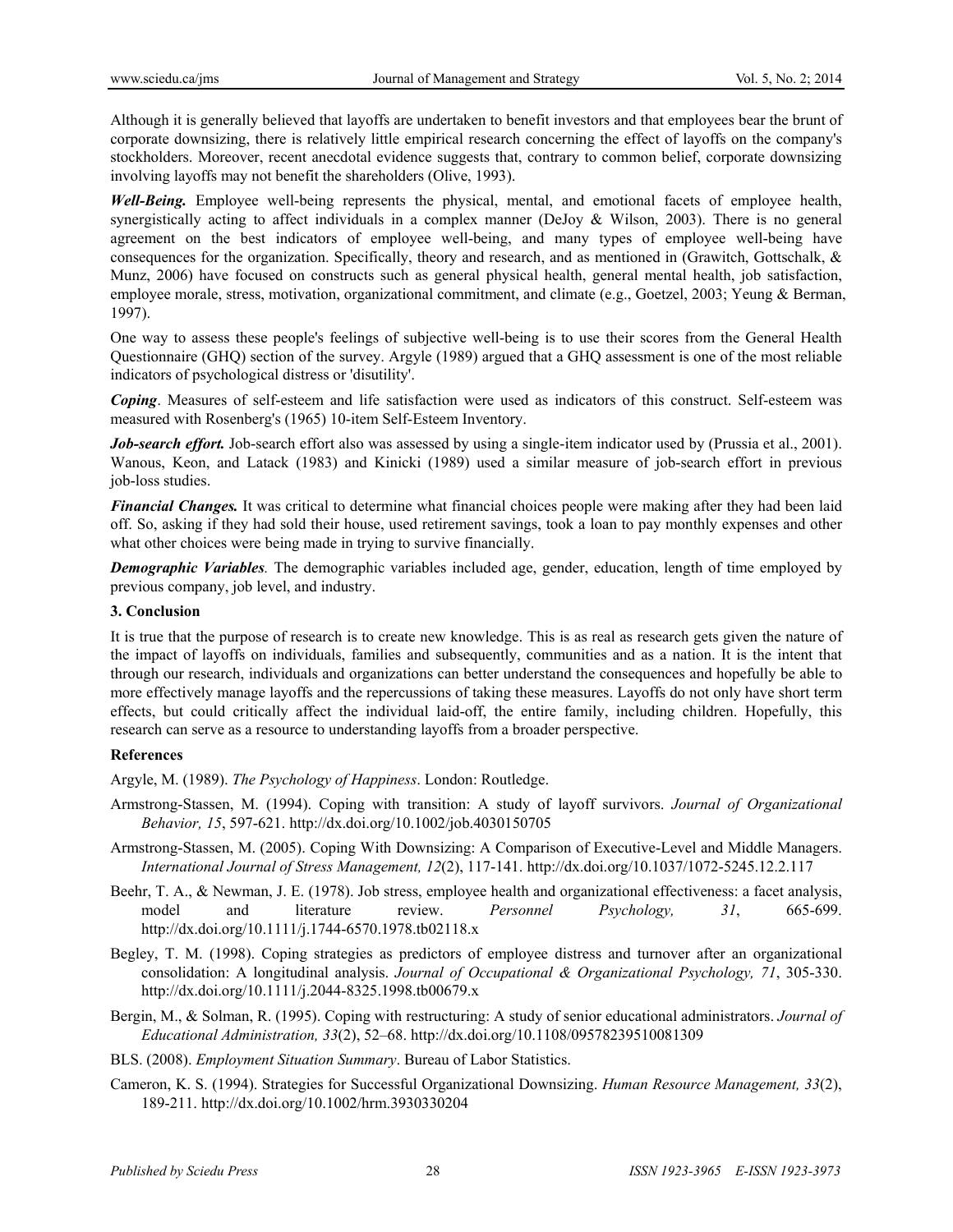Although it is generally believed that layoffs are undertaken to benefit investors and that employees bear the brunt of corporate downsizing, there is relatively little empirical research concerning the effect of layoffs on the company's stockholders. Moreover, recent anecdotal evidence suggests that, contrary to common belief, corporate downsizing involving layoffs may not benefit the shareholders (Olive, 1993).

*Well-Being.* Employee well-being represents the physical, mental, and emotional facets of employee health, synergistically acting to affect individuals in a complex manner (DeJoy & Wilson, 2003). There is no general agreement on the best indicators of employee well-being, and many types of employee well-being have consequences for the organization. Specifically, theory and research, and as mentioned in (Grawitch, Gottschalk, & Munz, 2006) have focused on constructs such as general physical health, general mental health, job satisfaction, employee morale, stress, motivation, organizational commitment, and climate (e.g., Goetzel, 2003; Yeung & Berman, 1997).

One way to assess these people's feelings of subjective well-being is to use their scores from the General Health Questionnaire (GHQ) section of the survey. Argyle (1989) argued that a GHQ assessment is one of the most reliable indicators of psychological distress or 'disutility'.

*Coping*. Measures of self-esteem and life satisfaction were used as indicators of this construct. Self-esteem was measured with Rosenberg's (1965) 10-item Self-Esteem Inventory.

*Job-search effort.* Job-search effort also was assessed by using a single-item indicator used by (Prussia et al., 2001). Wanous, Keon, and Latack (1983) and Kinicki (1989) used a similar measure of job-search effort in previous job-loss studies.

*Financial Changes.* It was critical to determine what financial choices people were making after they had been laid off. So, asking if they had sold their house, used retirement savings, took a loan to pay monthly expenses and other what other choices were being made in trying to survive financially.

*Demographic Variables.* The demographic variables included age, gender, education, length of time employed by previous company, job level, and industry.

#### **3. Conclusion**

It is true that the purpose of research is to create new knowledge. This is as real as research gets given the nature of the impact of layoffs on individuals, families and subsequently, communities and as a nation. It is the intent that through our research, individuals and organizations can better understand the consequences and hopefully be able to more effectively manage layoffs and the repercussions of taking these measures. Layoffs do not only have short term effects, but could critically affect the individual laid-off, the entire family, including children. Hopefully, this research can serve as a resource to understanding layoffs from a broader perspective.

#### **References**

Argyle, M. (1989). *The Psychology of Happiness*. London: Routledge.

- Armstrong-Stassen, M. (1994). Coping with transition: A study of layoff survivors. *Journal of Organizational Behavior, 15*, 597-621. http://dx.doi.org/10.1002/job.4030150705
- Armstrong-Stassen, M. (2005). Coping With Downsizing: A Comparison of Executive-Level and Middle Managers. *International Journal of Stress Management, 12*(2), 117-141. http://dx.doi.org/10.1037/1072-5245.12.2.117
- Beehr, T. A., & Newman, J. E. (1978). Job stress, employee health and organizational effectiveness: a facet analysis, model and literature review. *Personnel Psychology, 31*, 665-699. http://dx.doi.org/10.1111/j.1744-6570.1978.tb02118.x
- Begley, T. M. (1998). Coping strategies as predictors of employee distress and turnover after an organizational consolidation: A longitudinal analysis. *Journal of Occupational & Organizational Psychology, 71*, 305-330. http://dx.doi.org/10.1111/j.2044-8325.1998.tb00679.x
- Bergin, M., & Solman, R. (1995). Coping with restructuring: A study of senior educational administrators. *Journal of Educational Administration, 33*(2), 52–68. http://dx.doi.org/10.1108/09578239510081309
- BLS. (2008). *Employment Situation Summary*. Bureau of Labor Statistics.
- Cameron, K. S. (1994). Strategies for Successful Organizational Downsizing. *Human Resource Management, 33*(2), 189-211. http://dx.doi.org/10.1002/hrm.3930330204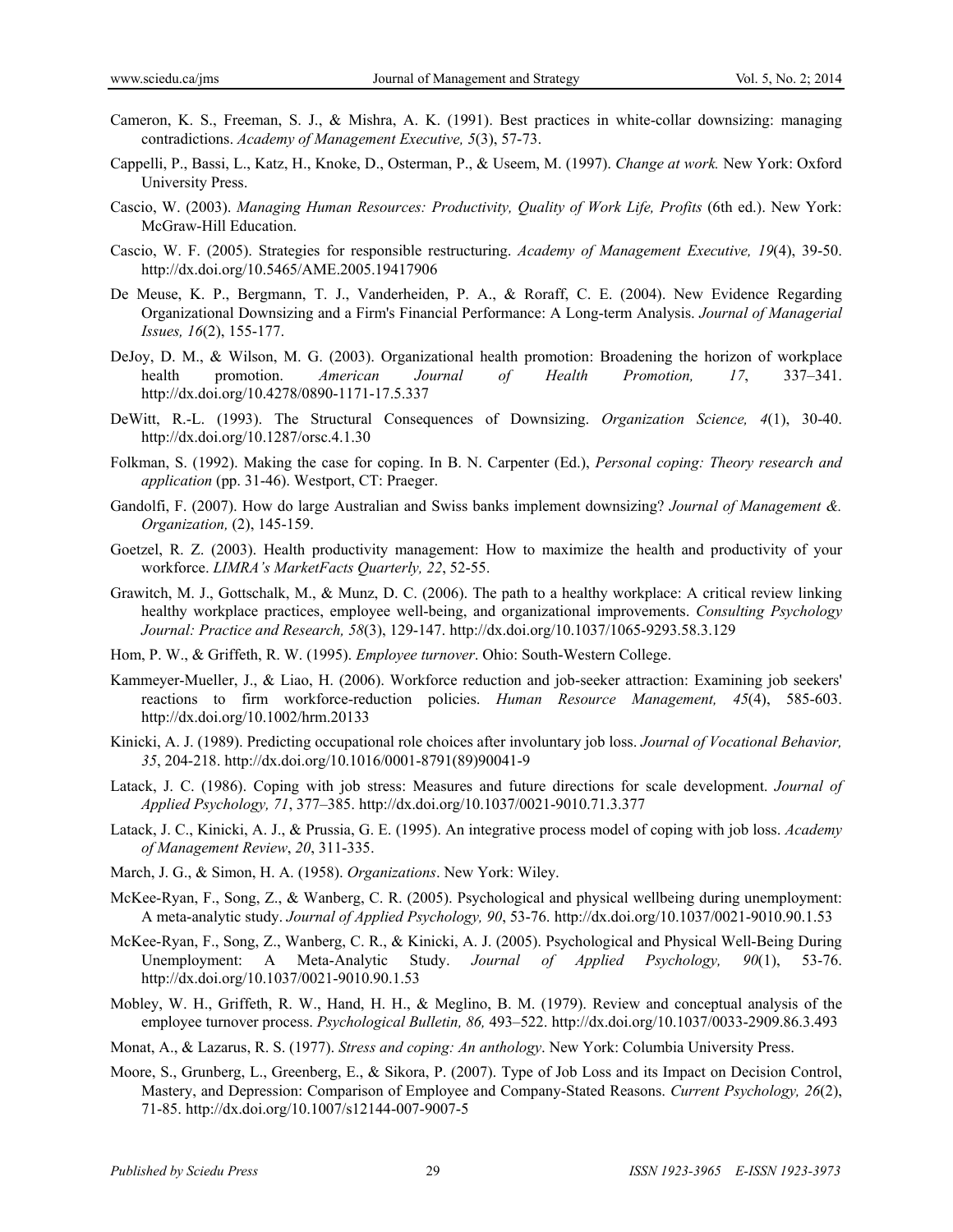- Cameron, K. S., Freeman, S. J., & Mishra, A. K. (1991). Best practices in white-collar downsizing: managing contradictions. *Academy of Management Executive, 5*(3), 57-73.
- Cappelli, P., Bassi, L., Katz, H., Knoke, D., Osterman, P., & Useem, M. (1997). *Change at work.* New York: Oxford University Press.
- Cascio, W. (2003). *Managing Human Resources: Productivity, Quality of Work Life, Profits* (6th ed.). New York: McGraw-Hill Education.
- Cascio, W. F. (2005). Strategies for responsible restructuring. *Academy of Management Executive, 19*(4), 39-50. http://dx.doi.org/10.5465/AME.2005.19417906
- De Meuse, K. P., Bergmann, T. J., Vanderheiden, P. A., & Roraff, C. E. (2004). New Evidence Regarding Organizational Downsizing and a Firm's Financial Performance: A Long-term Analysis. *Journal of Managerial Issues, 16*(2), 155-177.
- DeJoy, D. M., & Wilson, M. G. (2003). Organizational health promotion: Broadening the horizon of workplace health promotion. *American Journal of Health Promotion, 17*, 337–341. http://dx.doi.org/10.4278/0890-1171-17.5.337
- DeWitt, R.-L. (1993). The Structural Consequences of Downsizing. *Organization Science, 4*(1), 30-40. http://dx.doi.org/10.1287/orsc.4.1.30
- Folkman, S. (1992). Making the case for coping. In B. N. Carpenter (Ed.), *Personal coping: Theory research and application* (pp. 31-46). Westport, CT: Praeger.
- Gandolfi, F. (2007). How do large Australian and Swiss banks implement downsizing? *Journal of Management &. Organization,* (2), 145-159.
- Goetzel, R. Z. (2003). Health productivity management: How to maximize the health and productivity of your workforce. *LIMRA's MarketFacts Quarterly, 22*, 52-55.
- Grawitch, M. J., Gottschalk, M., & Munz, D. C. (2006). The path to a healthy workplace: A critical review linking healthy workplace practices, employee well-being, and organizational improvements. *Consulting Psychology Journal: Practice and Research, 58*(3), 129-147. http://dx.doi.org/10.1037/1065-9293.58.3.129
- Hom, P. W., & Griffeth, R. W. (1995). *Employee turnover*. Ohio: South-Western College.
- Kammeyer-Mueller, J., & Liao, H. (2006). Workforce reduction and job-seeker attraction: Examining job seekers' reactions to firm workforce-reduction policies. *Human Resource Management, 45*(4), 585-603. http://dx.doi.org/10.1002/hrm.20133
- Kinicki, A. J. (1989). Predicting occupational role choices after involuntary job loss. *Journal of Vocational Behavior, 35*, 204-218. http://dx.doi.org/10.1016/0001-8791(89)90041-9
- Latack, J. C. (1986). Coping with job stress: Measures and future directions for scale development. *Journal of Applied Psychology, 71*, 377–385. http://dx.doi.org/10.1037/0021-9010.71.3.377
- Latack, J. C., Kinicki, A. J., & Prussia, G. E. (1995). An integrative process model of coping with job loss. *Academy of Management Review*, *20*, 311-335.
- March, J. G., & Simon, H. A. (1958). *Organizations*. New York: Wiley.
- McKee-Ryan, F., Song, Z., & Wanberg, C. R. (2005). Psychological and physical wellbeing during unemployment: A meta-analytic study. *Journal of Applied Psychology, 90*, 53-76. http://dx.doi.org/10.1037/0021-9010.90.1.53
- McKee-Ryan, F., Song, Z., Wanberg, C. R., & Kinicki, A. J. (2005). Psychological and Physical Well-Being During Unemployment: A Meta-Analytic Study. *Journal of Applied Psychology, 90*(1), 53-76. http://dx.doi.org/10.1037/0021-9010.90.1.53
- Mobley, W. H., Griffeth, R. W., Hand, H. H., & Meglino, B. M. (1979). Review and conceptual analysis of the employee turnover process. *Psychological Bulletin, 86,* 493–522. http://dx.doi.org/10.1037/0033-2909.86.3.493
- Monat, A., & Lazarus, R. S. (1977). *Stress and coping: An anthology*. New York: Columbia University Press.
- Moore, S., Grunberg, L., Greenberg, E., & Sikora, P. (2007). Type of Job Loss and its Impact on Decision Control, Mastery, and Depression: Comparison of Employee and Company-Stated Reasons. *Current Psychology, 26*(2), 71-85. http://dx.doi.org/10.1007/s12144-007-9007-5